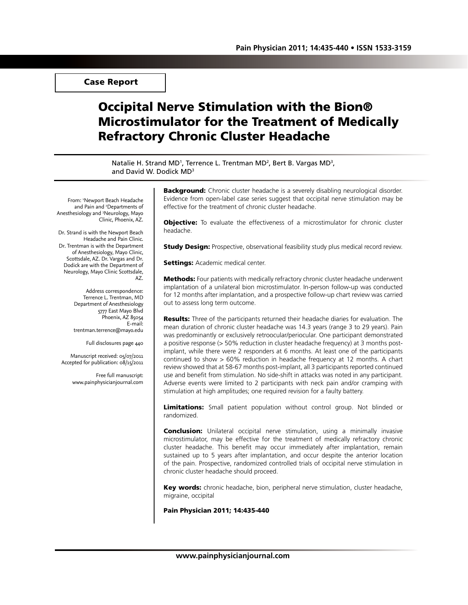# Case Report

# Occipital Nerve Stimulation with the Bion® Microstimulator for the Treatment of Medically Refractory Chronic Cluster Headache

Natalie H. Strand MD<sup>1</sup>, Terrence L. Trentman MD<sup>2</sup>, Bert B. Vargas MD<sup>3</sup>, and David W. Dodick MD3

From: 1 Newport Beach Headache and Pain and <sup>2</sup>Departments of Anesthesiology and 3 Neurology, Mayo Clinic, Phoenix, AZ.

Dr. Strand is with the Newport Beach Headache and Pain Clinic. Dr. Trentman is with the Department of Anesthesiology, Mayo Clinic, Scottsdale, AZ. Dr. Vargas and Dr. Dodick are with the Department of Neurology, Mayo Clinic Scottsdale, AZ.

> Address correspondence: Terrence L. Trentman, MD Department of Anesthesiology 5777 East Mayo Blvd Phoenix, AZ 85054 E-mail: trentman.terrence@mayo.edu

> > Full disclosures page 440

Manuscript received: 05/07/2011 Accepted for publication: 08/15/2011

> Free full manuscript: www.painphysicianjournal.com

**Background:** Chronic cluster headache is a severely disabling neurological disorder. Evidence from open-label case series suggest that occipital nerve stimulation may be effective for the treatment of chronic cluster headache.

**Objective:** To evaluate the effectiveness of a microstimulator for chronic cluster headache.

**Study Design:** Prospective, observational feasibility study plus medical record review.

**Settings: Academic medical center.** 

Methods: Four patients with medically refractory chronic cluster headache underwent implantation of a unilateral bion microstimulator. In-person follow-up was conducted for 12 months after implantation, and a prospective follow-up chart review was carried out to assess long term outcome.

Results: Three of the participants returned their headache diaries for evaluation. The mean duration of chronic cluster headache was 14.3 years (range 3 to 29 years). Pain was predominantly or exclusively retroocular/periocular. One participant demonstrated a positive response (> 50% reduction in cluster headache frequency) at 3 months postimplant, while there were 2 responders at 6 months. At least one of the participants continued to show  $> 60\%$  reduction in headache frequency at 12 months. A chart review showed that at 58-67 months post-implant, all 3 participants reported continued use and benefit from stimulation. No side-shift in attacks was noted in any participant. Adverse events were limited to 2 participants with neck pain and/or cramping with stimulation at high amplitudes; one required revision for a faulty battery.

Limitations: Small patient population without control group. Not blinded or randomized.

**Conclusion:** Unilateral occipital nerve stimulation, using a minimally invasive microstimulator, may be effective for the treatment of medically refractory chronic cluster headache. This benefit may occur immediately after implantation, remain sustained up to 5 years after implantation, and occur despite the anterior location of the pain. Prospective, randomized controlled trials of occipital nerve stimulation in chronic cluster headache should proceed.

Key words: chronic headache, bion, peripheral nerve stimulation, cluster headache, migraine, occipital

Pain Physician 2011; 14:435-440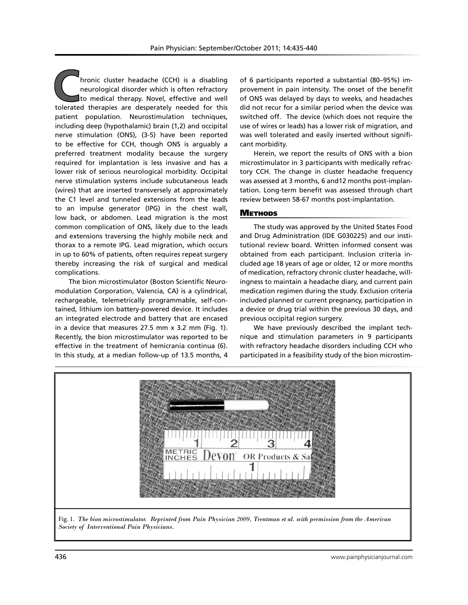hronic cluster headache (CCH) is a disabling neurological disorder which is often refractory to medical therapy. Novel, effective and well tolerated therapies are desperately needed for this patient population. Neurostimulation techniques, including deep (hypothalamic) brain (1,2) and occipital nerve stimulation (ONS), (3-5) have been reported to be effective for CCH, though ONS is arguably a preferred treatment modality because the surgery required for implantation is less invasive and has a lower risk of serious neurological morbidity. Occipital nerve stimulation systems include subcutaneous leads (wires) that are inserted transversely at approximately the C1 level and tunneled extensions from the leads to an impulse generator (IPG) in the chest wall, low back, or abdomen. Lead migration is the most common complication of ONS, likely due to the leads and extensions traversing the highly mobile neck and thorax to a remote IPG. Lead migration, which occurs in up to 60% of patients, often requires repeat surgery thereby increasing the risk of surgical and medical complications.

The bion microstimulator (Boston Scientific Neuromodulation Corporation, Valencia, CA) is a cylindrical, rechargeable, telemetrically programmable, self-contained, lithium ion battery-powered device. It includes an integrated electrode and battery that are encased in a device that measures 27.5 mm x 3.2 mm (Fig. 1). Recently, the bion microstimulator was reported to be effective in the treatment of hemicrania continua (6). In this study, at a median follow-up of 13.5 months, 4

of 6 participants reported a substantial (80–95%) improvement in pain intensity. The onset of the benefit of ONS was delayed by days to weeks, and headaches did not recur for a similar period when the device was switched off. The device (which does not require the use of wires or leads) has a lower risk of migration, and was well tolerated and easily inserted without significant morbidity.

Herein, we report the results of ONS with a bion microstimulator in 3 participants with medically refractory CCH. The change in cluster headache frequency was assessed at 3 months, 6 and12 months post-implantation. Long-term benefit was assessed through chart review between 58-67 months post-implantation.

#### **METHODS**

The study was approved by the United States Food and Drug Administration (IDE G030225) and our institutional review board. Written informed consent was obtained from each participant. Inclusion criteria included age 18 years of age or older, 12 or more months of medication, refractory chronic cluster headache, willingness to maintain a headache diary, and current pain medication regimen during the study. Exclusion criteria included planned or current pregnancy, participation in a device or drug trial within the previous 30 days, and previous occipital region surgery.

We have previously described the implant technique and stimulation parameters in 9 participants with refractory headache disorders including CCH who participated in a feasibility study of the bion microstim-



Fig. 1. *The bion microstimulator. Reprinted from Pain Physician 2009, Trentman et al. with permission from the American Society of Interventional Pain Physicians.*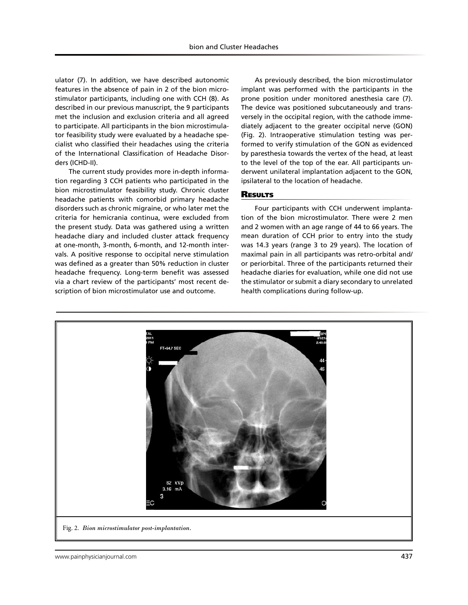ulator (7). In addition, we have described autonomic features in the absence of pain in 2 of the bion microstimulator participants, including one with CCH (8). As described in our previous manuscript, the 9 participants met the inclusion and exclusion criteria and all agreed to participate. All participants in the bion microstimulator feasibility study were evaluated by a headache specialist who classified their headaches using the criteria of the International Classification of Headache Disorders (ICHD-II).

The current study provides more in-depth information regarding 3 CCH patients who participated in the bion microstimulator feasibility study. Chronic cluster headache patients with comorbid primary headache disorders such as chronic migraine, or who later met the criteria for hemicrania continua, were excluded from the present study. Data was gathered using a written headache diary and included cluster attack frequency at one-month, 3-month, 6-month, and 12-month intervals. A positive response to occipital nerve stimulation was defined as a greater than 50% reduction in cluster headache frequency. Long-term benefit was assessed via a chart review of the participants' most recent description of bion microstimulator use and outcome.

As previously described, the bion microstimulator implant was performed with the participants in the prone position under monitored anesthesia care (7). The device was positioned subcutaneously and transversely in the occipital region, with the cathode immediately adjacent to the greater occipital nerve (GON) (Fig. 2). Intraoperative stimulation testing was performed to verify stimulation of the GON as evidenced by paresthesia towards the vertex of the head, at least to the level of the top of the ear. All participants underwent unilateral implantation adjacent to the GON, ipsilateral to the location of headache.

# **RESULTS**

Four participants with CCH underwent implantation of the bion microstimulator. There were 2 men and 2 women with an age range of 44 to 66 years. The mean duration of CCH prior to entry into the study was 14.3 years (range 3 to 29 years). The location of maximal pain in all participants was retro-orbital and/ or periorbital. Three of the participants returned their headache diaries for evaluation, while one did not use the stimulator or submit a diary secondary to unrelated health complications during follow-up.

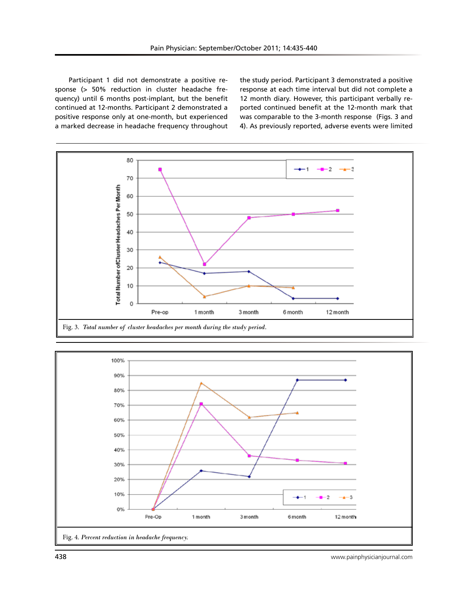Participant 1 did not demonstrate a positive response (> 50% reduction in cluster headache frequency) until 6 months post-implant, but the benefit continued at 12-months. Participant 2 demonstrated a positive response only at one-month, but experienced a marked decrease in headache frequency throughout the study period. Participant 3 demonstrated a positive response at each time interval but did not complete a 12 month diary. However, this participant verbally reported continued benefit at the 12-month mark that was comparable to the 3-month response (Figs. 3 and 4). As previously reported, adverse events were limited





438 www.painphysicianjournal.com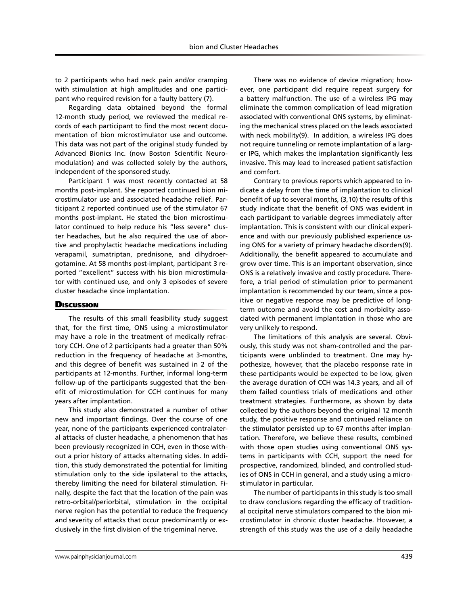to 2 participants who had neck pain and/or cramping with stimulation at high amplitudes and one participant who required revision for a faulty battery (7).

Regarding data obtained beyond the formal 12-month study period, we reviewed the medical records of each participant to find the most recent documentation of bion microstimulator use and outcome. This data was not part of the original study funded by Advanced Bionics Inc. (now Boston Scientific Neuromodulation) and was collected solely by the authors, independent of the sponsored study.

Participant 1 was most recently contacted at 58 months post-implant. She reported continued bion microstimulator use and associated headache relief. Participant 2 reported continued use of the stimulator 67 months post-implant. He stated the bion microstimulator continued to help reduce his "less severe" cluster headaches, but he also required the use of abortive and prophylactic headache medications including verapamil, sumatriptan, prednisone, and dihydroergotamine. At 58 months post-implant, participant 3 reported "excellent" success with his bion microstimulator with continued use, and only 3 episodes of severe cluster headache since implantation.

## **Discussion**

The results of this small feasibility study suggest that, for the first time, ONS using a microstimulator may have a role in the treatment of medically refractory CCH. One of 2 participants had a greater than 50% reduction in the frequency of headache at 3-months, and this degree of benefit was sustained in 2 of the participants at 12-months. Further, informal long-term follow-up of the participants suggested that the benefit of microstimulation for CCH continues for many years after implantation.

This study also demonstrated a number of other new and important findings. Over the course of one year, none of the participants experienced contralateral attacks of cluster headache, a phenomenon that has been previously recognized in CCH, even in those without a prior history of attacks alternating sides. In addition, this study demonstrated the potential for limiting stimulation only to the side ipsilateral to the attacks, thereby limiting the need for bilateral stimulation. Finally, despite the fact that the location of the pain was retro-orbital/periorbital, stimulation in the occipital nerve region has the potential to reduce the frequency and severity of attacks that occur predominantly or exclusively in the first division of the trigeminal nerve.

There was no evidence of device migration; however, one participant did require repeat surgery for a battery malfunction. The use of a wireless IPG may eliminate the common complication of lead migration associated with conventional ONS systems, by eliminating the mechanical stress placed on the leads associated with neck mobility(9). In addition, a wireless IPG does not require tunneling or remote implantation of a larger IPG, which makes the implantation significantly less invasive. This may lead to increased patient satisfaction and comfort.

Contrary to previous reports which appeared to indicate a delay from the time of implantation to clinical benefit of up to several months, (3,10) the results of this study indicate that the benefit of ONS was evident in each participant to variable degrees immediately after implantation. This is consistent with our clinical experience and with our previously published experience using ONS for a variety of primary headache disorders(9). Additionally, the benefit appeared to accumulate and grow over time. This is an important observation, since ONS is a relatively invasive and costly procedure. Therefore, a trial period of stimulation prior to permanent implantation is recommended by our team, since a positive or negative response may be predictive of longterm outcome and avoid the cost and morbidity associated with permanent implantation in those who are very unlikely to respond.

The limitations of this analysis are several. Obviously, this study was not sham-controlled and the participants were unblinded to treatment. One may hypothesize, however, that the placebo response rate in these participants would be expected to be low, given the average duration of CCH was 14.3 years, and all of them failed countless trials of medications and other treatment strategies. Furthermore, as shown by data collected by the authors beyond the original 12 month study, the positive response and continued reliance on the stimulator persisted up to 67 months after implantation. Therefore, we believe these results, combined with those open studies using conventional ONS systems in participants with CCH, support the need for prospective, randomized, blinded, and controlled studies of ONS in CCH in general, and a study using a microstimulator in particular.

The number of participants in this study is too small to draw conclusions regarding the efficacy of traditional occipital nerve stimulators compared to the bion microstimulator in chronic cluster headache. However, a strength of this study was the use of a daily headache